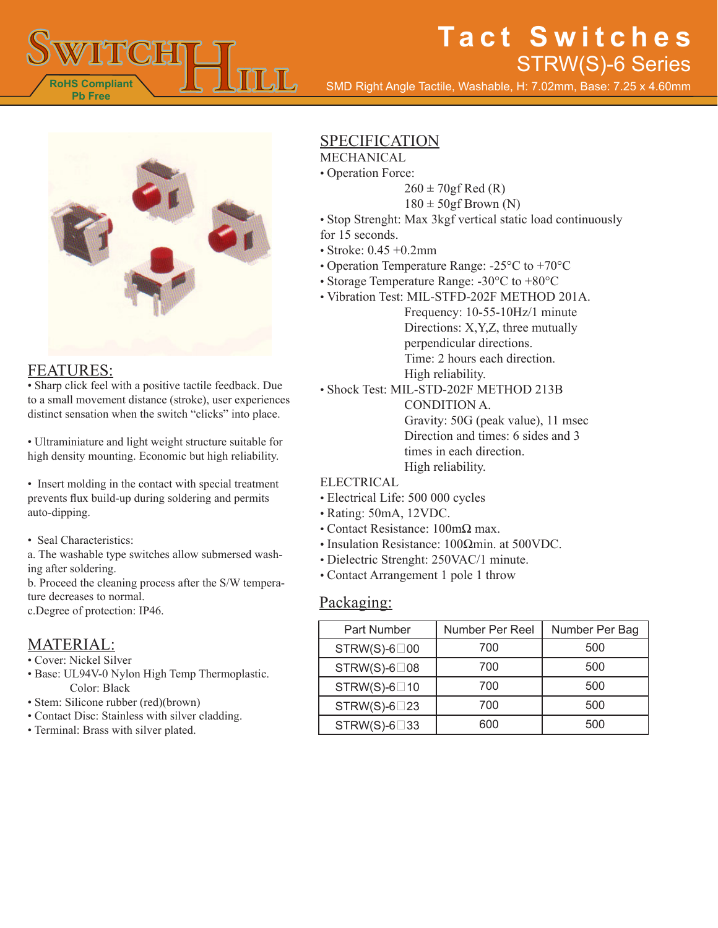

# **Tact Switches** STRW(S)-6 Series

SMD Right Angle Tactile, Washable, H: 7.02mm, Base: 7.25 x 4.60mm



### FEATURES:

• Sharp click feel with a positive tactile feedback. Due to a small movement distance (stroke), user experiences distinct sensation when the switch "clicks" into place.

• Ultraminiature and light weight structure suitable for high density mounting. Economic but high reliability.

• Insert molding in the contact with special treatment prevents flux build-up during soldering and permits auto-dipping.

• Seal Characteristics:

a. The washable type switches allow submersed washing after soldering.

b. Proceed the cleaning process after the S/W temperature decreases to normal.

c.Degree of protection: IP46.

### MATERIAL:

- Cover: Nickel Silver
- Base: UL94V-0 Nylon High Temp Thermoplastic. Color: Black
- Stem: Silicone rubber (red)(brown)
- Contact Disc: Stainless with silver cladding.
- Terminal: Brass with silver plated.

### SPECIFICATION

- MECHANICAL
- Operation Force:
	- $260 \pm 70$ gf Red (R)
	- $180 \pm 50$ gf Brown (N)
- Stop Strenght: Max 3kgf vertical static load continuously for 15 seconds.
- Stroke: 0.45 +0.2mm
- Operation Temperature Range: -25°C to +70°C
- Storage Temperature Range: -30°C to +80°C
- Vibration Test: MIL-STFD-202F METHOD 201A.
	- Frequency: 10-55-10Hz/1 minute Directions: X,Y,Z, three mutually perpendicular directions. Time: 2 hours each direction. High reliability.
- Shock Test: MIL-STD-202F METHOD 213B

CONDITION A. Gravity: 50G (peak value), 11 msec Direction and times: 6 sides and 3 times in each direction. High reliability.

#### ELECTRICAL

- Electrical Life: 500 000 cycles
- Rating: 50mA, 12VDC.
- Contact Resistance: 100mΩ max.
- Insulation Resistance: 100Ωmin. at 500VDC.
- Dielectric Strenght: 250VAC/1 minute.
- Contact Arrangement 1 pole 1 throw

### Packaging:

| Part Number            | Number Per Reel | Number Per Bag |
|------------------------|-----------------|----------------|
| $STRW(S)-6 \square 00$ | 700             | 500            |
| $STRW(S)-6 \square 08$ | 700             | 500            |
| $STRW(S)-6\square 10$  | 700             | 500            |
| $STRW(S)-6 \square 23$ | 700             | 500            |
| $STRW(S)-6 \square 33$ | 600             | 500            |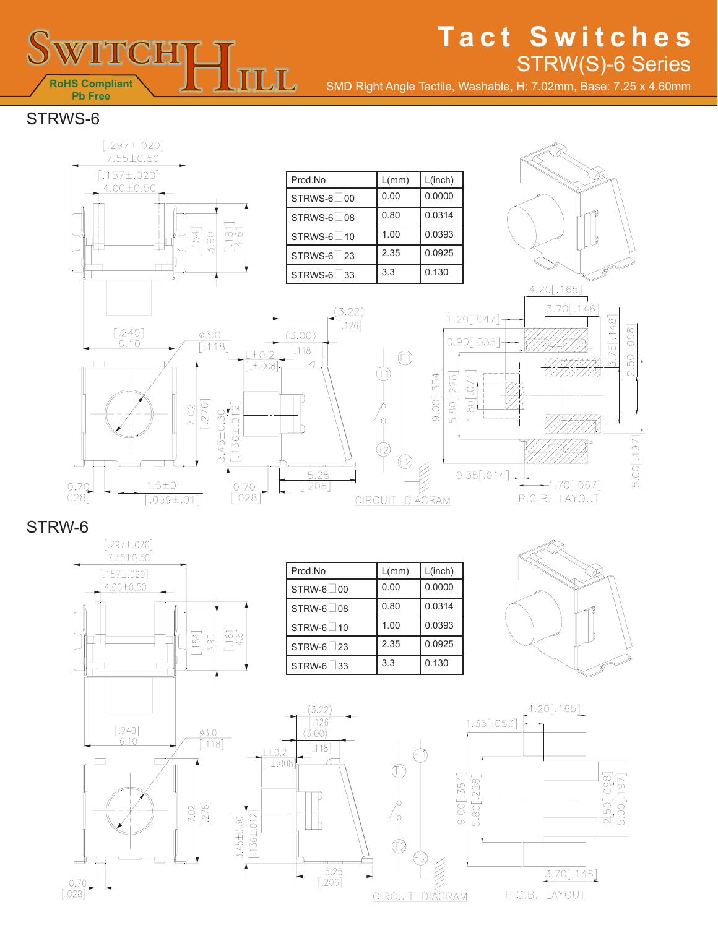

# **Tact Switches** STRW(S)-6 Series

SMD Right Angle Tactile, Washable, H: 7.02mm, Base: 7.25 x 4.60mm

STRWS-6